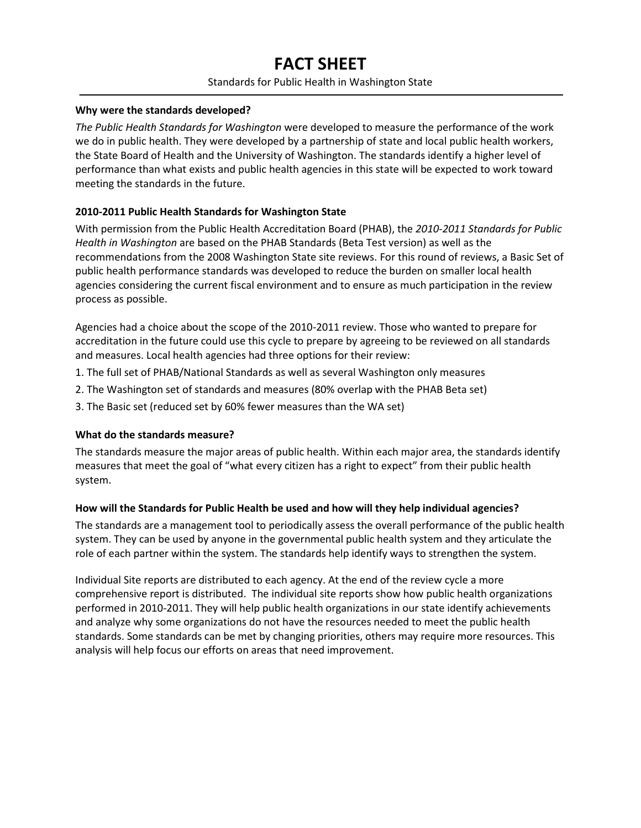# **FACT SHEET**

### Standards for Public Health in Washington State

### **Why were the standards developed?**

*The Public Health Standards for Washington* were developed to measure the performance of the work we do in public health. They were developed by a partnership of state and local public health workers, the State Board of Health and the University of Washington. The standards identify a higher level of performance than what exists and public health agencies in this state will be expected to work toward meeting the standards in the future.

## **2010-2011 Public Health Standards for Washington State**

With permission from the Public Health Accreditation Board (PHAB), the *2010-2011 Standards for Public Health in Washington* are based on the PHAB Standards (Beta Test version) as well as the recommendations from the 2008 Washington State site reviews. For this round of reviews, a Basic Set of public health performance standards was developed to reduce the burden on smaller local health agencies considering the current fiscal environment and to ensure as much participation in the review process as possible.

Agencies had a choice about the scope of the 2010-2011 review. Those who wanted to prepare for accreditation in the future could use this cycle to prepare by agreeing to be reviewed on all standards and measures. Local health agencies had three options for their review:

- 1. The full set of PHAB/National Standards as well as several Washington only measures
- 2. The Washington set of standards and measures (80% overlap with the PHAB Beta set)
- 3. The Basic set (reduced set by 60% fewer measures than the WA set)

### **What do the standards measure?**

The standards measure the major areas of public health. Within each major area, the standards identify measures that meet the goal of "what every citizen has a right to expect" from their public health system.

### **How will the Standards for Public Health be used and how will they help individual agencies?**

The standards are a management tool to periodically assess the overall performance of the public health system. They can be used by anyone in the governmental public health system and they articulate the role of each partner within the system. The standards help identify ways to strengthen the system.

Individual Site reports are distributed to each agency. At the end of the review cycle a more comprehensive report is distributed. The individual site reports show how public health organizations performed in 2010-2011. They will help public health organizations in our state identify achievements and analyze why some organizations do not have the resources needed to meet the public health standards. Some standards can be met by changing priorities, others may require more resources. This analysis will help focus our efforts on areas that need improvement.